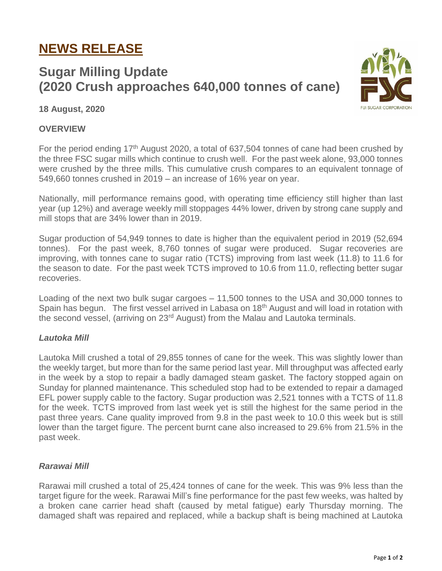# **NEWS RELEASE**

# **Sugar Milling Update (2020 Crush approaches 640,000 tonnes of cane)**



**18 August, 2020**

#### **OVERVIEW**

For the period ending 17<sup>th</sup> August 2020, a total of 637,504 tonnes of cane had been crushed by the three FSC sugar mills which continue to crush well. For the past week alone, 93,000 tonnes were crushed by the three mills. This cumulative crush compares to an equivalent tonnage of 549,660 tonnes crushed in 2019 – an increase of 16% year on year.

Nationally, mill performance remains good, with operating time efficiency still higher than last year (up 12%) and average weekly mill stoppages 44% lower, driven by strong cane supply and mill stops that are 34% lower than in 2019.

Sugar production of 54,949 tonnes to date is higher than the equivalent period in 2019 (52,694 tonnes). For the past week, 8,760 tonnes of sugar were produced. Sugar recoveries are improving, with tonnes cane to sugar ratio (TCTS) improving from last week (11.8) to 11.6 for the season to date. For the past week TCTS improved to 10.6 from 11.0, reflecting better sugar recoveries.

Loading of the next two bulk sugar cargoes – 11,500 tonnes to the USA and 30,000 tonnes to Spain has begun. The first vessel arrived in Labasa on 18<sup>th</sup> August and will load in rotation with the second vessel, (arriving on 23<sup>rd</sup> August) from the Malau and Lautoka terminals.

## *Lautoka Mill*

Lautoka Mill crushed a total of 29,855 tonnes of cane for the week. This was slightly lower than the weekly target, but more than for the same period last year. Mill throughput was affected early in the week by a stop to repair a badly damaged steam gasket. The factory stopped again on Sunday for planned maintenance. This scheduled stop had to be extended to repair a damaged EFL power supply cable to the factory. Sugar production was 2,521 tonnes with a TCTS of 11.8 for the week. TCTS improved from last week yet is still the highest for the same period in the past three years. Cane quality improved from 9.8 in the past week to 10.0 this week but is still lower than the target figure. The percent burnt cane also increased to 29.6% from 21.5% in the past week.

## *Rarawai Mill*

Rarawai mill crushed a total of 25,424 tonnes of cane for the week. This was 9% less than the target figure for the week. Rarawai Mill's fine performance for the past few weeks, was halted by a broken cane carrier head shaft (caused by metal fatigue) early Thursday morning. The damaged shaft was repaired and replaced, while a backup shaft is being machined at Lautoka